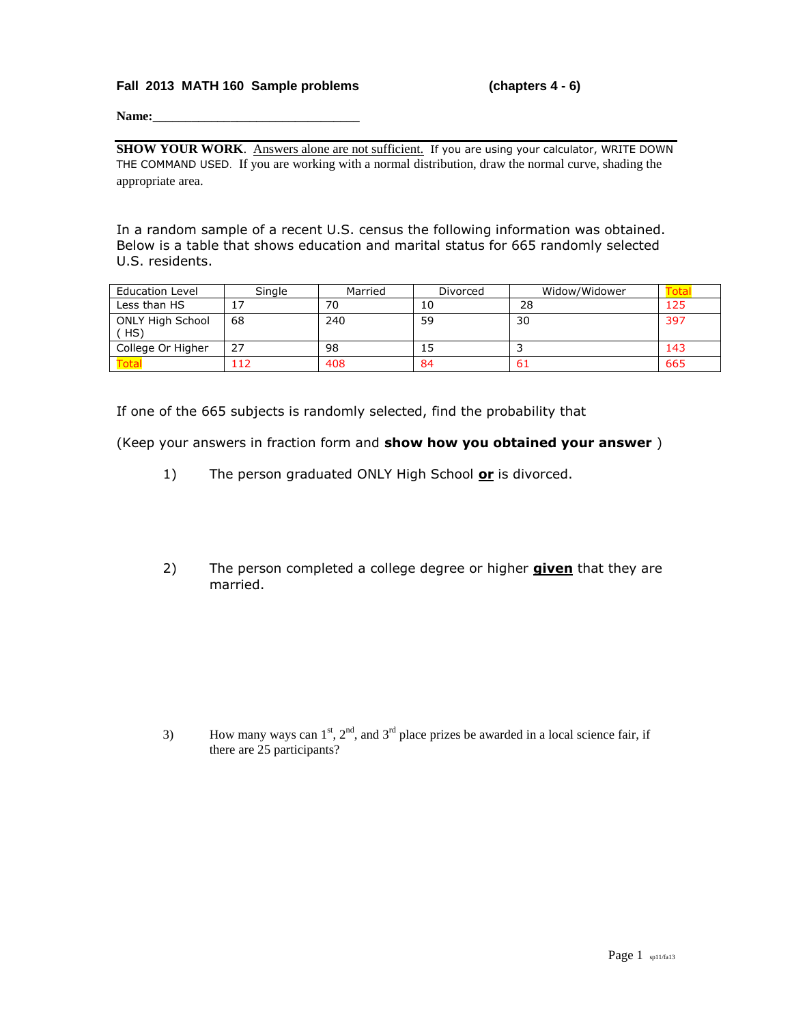## **Fall 2013 MATH 160 Sample problems (chapters 4 - 6)**

**Name:** 

SHOW YOUR WORK. Answers alone are not sufficient. If you are using your calculator, WRITE DOWN THE COMMAND USED. If you are working with a normal distribution, draw the normal curve, shading the appropriate area.

In a random sample of a recent U.S. census the following information was obtained. Below is a table that shows education and marital status for 665 randomly selected U.S. residents.

| <b>Education Level</b>        | Single | Married | Divorced | Widow/Widower |     |
|-------------------------------|--------|---------|----------|---------------|-----|
| Less than HS                  |        | 70      | 10       | 28            | 125 |
| <b>ONLY High School</b><br>HS | 68     | 240     | 59       | 30            | 397 |
| College Or Higher             | 27     | 98      | 15       |               | 143 |
| ota <sup>-</sup>              |        | 408     | 84       | 61            | 665 |

If one of the 665 subjects is randomly selected, find the probability that

(Keep your answers in fraction form and **show how you obtained your answer** )

- 1) The person graduated ONLY High School **or** is divorced.
- 2) The person completed a college degree or higher **given** that they are married.

3) How many ways can  $1^{st}$ ,  $2^{nd}$ , and  $3^{rd}$  place prizes be awarded in a local science fair, if there are 25 participants?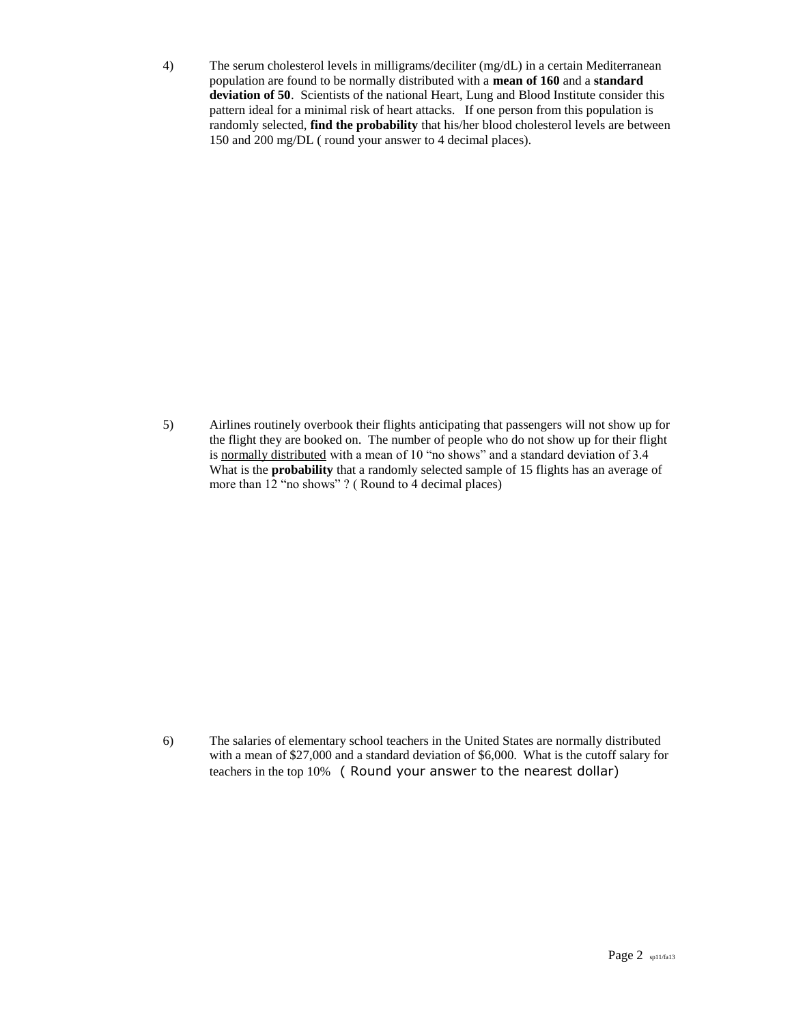4) The serum cholesterol levels in milligrams/deciliter (mg/dL) in a certain Mediterranean population are found to be normally distributed with a **mean of 160** and a **standard deviation of 50**. Scientists of the national Heart, Lung and Blood Institute consider this pattern ideal for a minimal risk of heart attacks. If one person from this population is randomly selected, **find the probability** that his/her blood cholesterol levels are between 150 and 200 mg/DL ( round your answer to 4 decimal places).

5) Airlines routinely overbook their flights anticipating that passengers will not show up for the flight they are booked on. The number of people who do not show up for their flight is normally distributed with a mean of 10 "no shows" and a standard deviation of 3.4 What is the **probability** that a randomly selected sample of 15 flights has an average of more than 12 "no shows" ? ( Round to 4 decimal places)

6) The salaries of elementary school teachers in the United States are normally distributed with a mean of \$27,000 and a standard deviation of \$6,000. What is the cutoff salary for teachers in the top 10% ( Round your answer to the nearest dollar)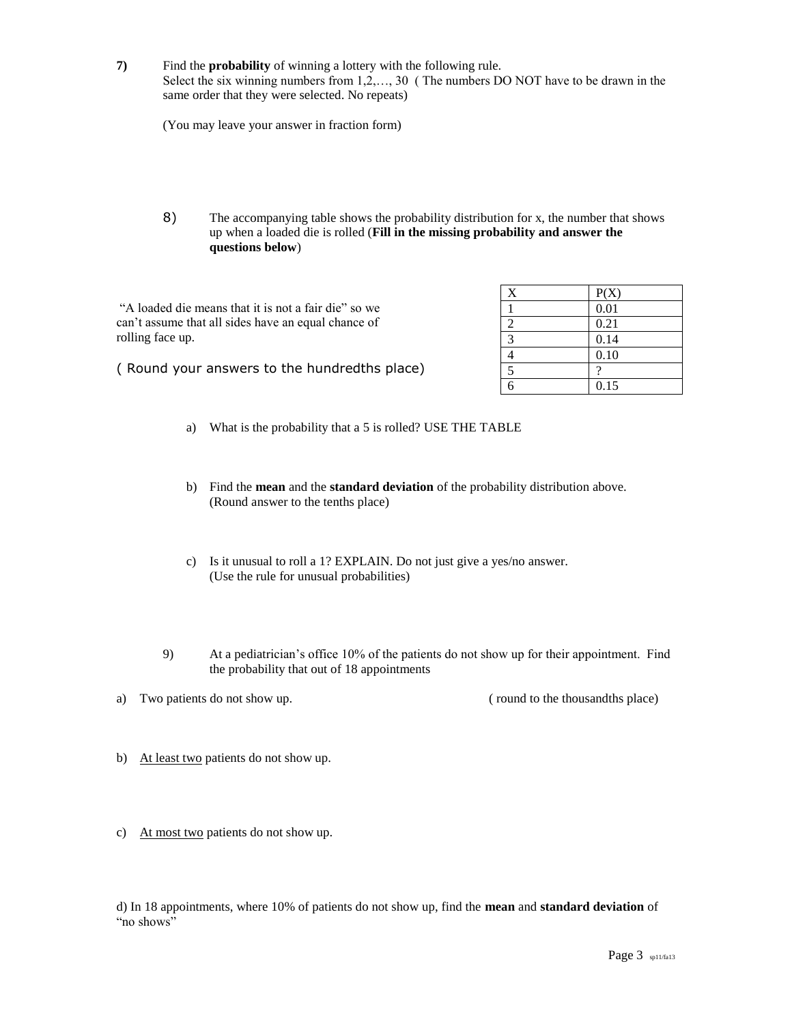**7)** Find the **probability** of winning a lottery with the following rule. Select the six winning numbers from 1,2,…, 30 ( The numbers DO NOT have to be drawn in the same order that they were selected. No repeats)

(You may leave your answer in fraction form)

8) The accompanying table shows the probability distribution for x, the number that shows up when a loaded die is rolled (**Fill in the missing probability and answer the questions below**)

"A loaded die means that it is not a fair die" so we can't assume that all sides have an equal chance of rolling face up.

| X | P(X) |
|---|------|
|   | 0.01 |
| 2 | 0.21 |
| 3 | 0.14 |
| 4 | 0.10 |
| 5 | າ    |
| ร | 0.15 |

( Round your answers to the hundredths place)

- a) What is the probability that a 5 is rolled? USE THE TABLE
- b) Find the **mean** and the **standard deviation** of the probability distribution above. (Round answer to the tenths place)
- c) Is it unusual to roll a 1? EXPLAIN. Do not just give a yes/no answer. (Use the rule for unusual probabilities)
- 9) At a pediatrician's office 10% of the patients do not show up for their appointment. Find the probability that out of 18 appointments
- a) Two patients do not show up. ( round to the thousandths place)

- b) At least two patients do not show up.
- c) At most two patients do not show up.

d) In 18 appointments, where 10% of patients do not show up, find the **mean** and **standard deviation** of "no shows"